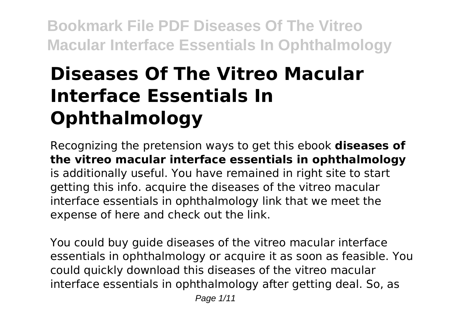# **Diseases Of The Vitreo Macular Interface Essentials In Ophthalmology**

Recognizing the pretension ways to get this ebook **diseases of the vitreo macular interface essentials in ophthalmology** is additionally useful. You have remained in right site to start getting this info. acquire the diseases of the vitreo macular interface essentials in ophthalmology link that we meet the expense of here and check out the link.

You could buy guide diseases of the vitreo macular interface essentials in ophthalmology or acquire it as soon as feasible. You could quickly download this diseases of the vitreo macular interface essentials in ophthalmology after getting deal. So, as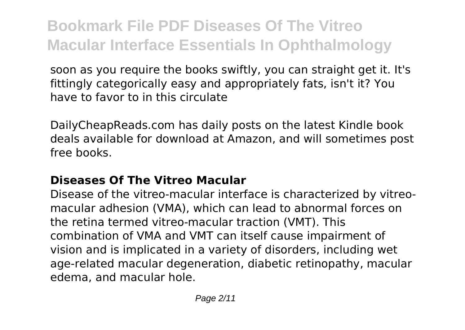soon as you require the books swiftly, you can straight get it. It's fittingly categorically easy and appropriately fats, isn't it? You have to favor to in this circulate

DailyCheapReads.com has daily posts on the latest Kindle book deals available for download at Amazon, and will sometimes post free books.

#### **Diseases Of The Vitreo Macular**

Disease of the vitreo-macular interface is characterized by vitreomacular adhesion (VMA), which can lead to abnormal forces on the retina termed vitreo-macular traction (VMT). This combination of VMA and VMT can itself cause impairment of vision and is implicated in a variety of disorders, including wet age-related macular degeneration, diabetic retinopathy, macular edema, and macular hole.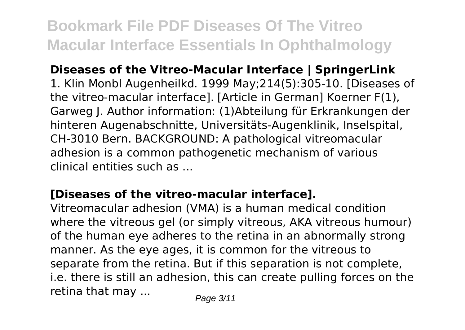#### **Diseases of the Vitreo-Macular Interface | SpringerLink**

1. Klin Monbl Augenheilkd. 1999 May;214(5):305-10. [Diseases of the vitreo-macular interface]. [Article in German] Koerner F(1), Garweg J. Author information: (1)Abteilung für Erkrankungen der hinteren Augenabschnitte, Universitäts-Augenklinik, Inselspital, CH-3010 Bern. BACKGROUND: A pathological vitreomacular adhesion is a common pathogenetic mechanism of various clinical entities such as ...

#### **[Diseases of the vitreo-macular interface].**

Vitreomacular adhesion (VMA) is a human medical condition where the vitreous gel (or simply vitreous, AKA vitreous humour) of the human eye adheres to the retina in an abnormally strong manner. As the eye ages, it is common for the vitreous to separate from the retina. But if this separation is not complete, i.e. there is still an adhesion, this can create pulling forces on the retina that may  $\ldots$  Page 3/11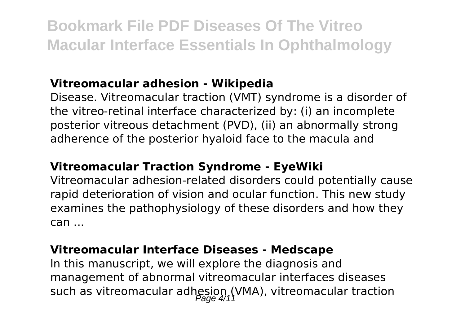#### **Vitreomacular adhesion - Wikipedia**

Disease. Vitreomacular traction (VMT) syndrome is a disorder of the vitreo-retinal interface characterized by: (i) an incomplete posterior vitreous detachment (PVD), (ii) an abnormally strong adherence of the posterior hyaloid face to the macula and

#### **Vitreomacular Traction Syndrome - EyeWiki**

Vitreomacular adhesion-related disorders could potentially cause rapid deterioration of vision and ocular function. This new study examines the pathophysiology of these disorders and how they can ...

#### **Vitreomacular Interface Diseases - Medscape**

In this manuscript, we will explore the diagnosis and management of abnormal vitreomacular interfaces diseases such as vitreomacular adhesion (VMA), vitreomacular traction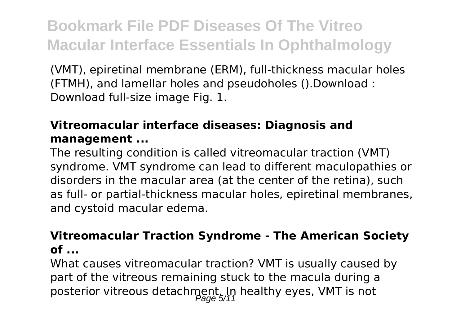(VMT), epiretinal membrane (ERM), full-thickness macular holes (FTMH), and lamellar holes and pseudoholes ().Download : Download full-size image Fig. 1.

#### **Vitreomacular interface diseases: Diagnosis and management ...**

The resulting condition is called vitreomacular traction (VMT) syndrome. VMT syndrome can lead to different maculopathies or disorders in the macular area (at the center of the retina), such as full- or partial-thickness macular holes, epiretinal membranes, and cystoid macular edema.

#### **Vitreomacular Traction Syndrome - The American Society of ...**

What causes vitreomacular traction? VMT is usually caused by part of the vitreous remaining stuck to the macula during a posterior vitreous detachment. In healthy eyes, VMT is not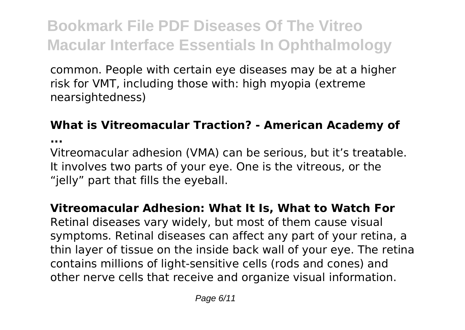common. People with certain eye diseases may be at a higher risk for VMT, including those with: high myopia (extreme nearsightedness)

#### **What is Vitreomacular Traction? - American Academy of**

**...**

Vitreomacular adhesion (VMA) can be serious, but it's treatable. It involves two parts of your eye. One is the vitreous, or the "jelly" part that fills the eyeball.

#### **Vitreomacular Adhesion: What It Is, What to Watch For**

Retinal diseases vary widely, but most of them cause visual symptoms. Retinal diseases can affect any part of your retina, a thin layer of tissue on the inside back wall of your eye. The retina contains millions of light-sensitive cells (rods and cones) and other nerve cells that receive and organize visual information.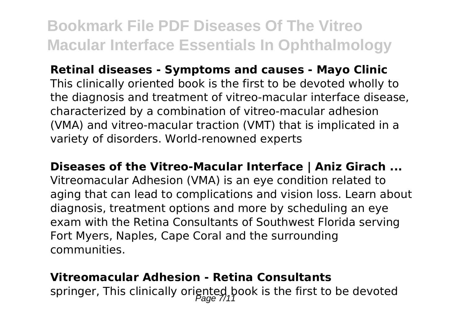**Retinal diseases - Symptoms and causes - Mayo Clinic**

This clinically oriented book is the first to be devoted wholly to the diagnosis and treatment of vitreo-macular interface disease, characterized by a combination of vitreo-macular adhesion (VMA) and vitreo-macular traction (VMT) that is implicated in a variety of disorders. World-renowned experts

**Diseases of the Vitreo-Macular Interface | Aniz Girach ...**

Vitreomacular Adhesion (VMA) is an eye condition related to aging that can lead to complications and vision loss. Learn about diagnosis, treatment options and more by scheduling an eye exam with the Retina Consultants of Southwest Florida serving Fort Myers, Naples, Cape Coral and the surrounding communities.

#### **Vitreomacular Adhesion - Retina Consultants**

springer, This clinically oriented book is the first to be devoted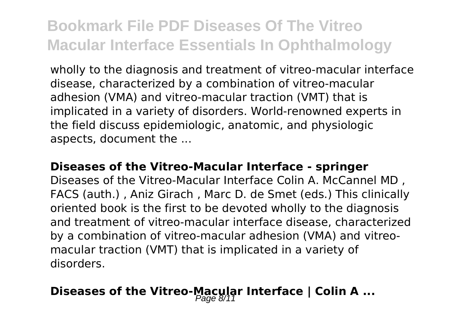wholly to the diagnosis and treatment of vitreo-macular interface disease, characterized by a combination of vitreo-macular adhesion (VMA) and vitreo-macular traction (VMT) that is implicated in a variety of disorders. World-renowned experts in the field discuss epidemiologic, anatomic, and physiologic aspects, document the ...

#### **Diseases of the Vitreo-Macular Interface - springer**

Diseases of the Vitreo-Macular Interface Colin A. McCannel MD , FACS (auth.) , Aniz Girach , Marc D. de Smet (eds.) This clinically oriented book is the first to be devoted wholly to the diagnosis and treatment of vitreo-macular interface disease, characterized by a combination of vitreo-macular adhesion (VMA) and vitreomacular traction (VMT) that is implicated in a variety of disorders.

### **Diseases of the Vitreo-Macular Interface | Colin A ...**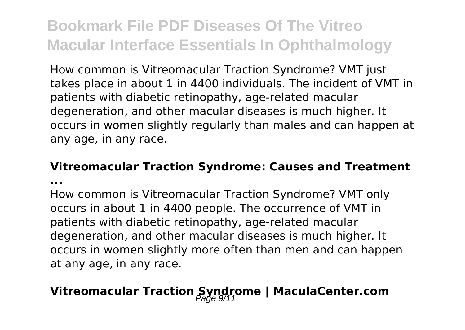How common is Vitreomacular Traction Syndrome? VMT just takes place in about 1 in 4400 individuals. The incident of VMT in patients with diabetic retinopathy, age-related macular degeneration, and other macular diseases is much higher. It occurs in women slightly regularly than males and can happen at any age, in any race.

### **Vitreomacular Traction Syndrome: Causes and Treatment**

**...**

How common is Vitreomacular Traction Syndrome? VMT only occurs in about 1 in 4400 people. The occurrence of VMT in patients with diabetic retinopathy, age-related macular degeneration, and other macular diseases is much higher. It occurs in women slightly more often than men and can happen at any age, in any race.

### Vitreomacular Traction Syndrome | MaculaCenter.com